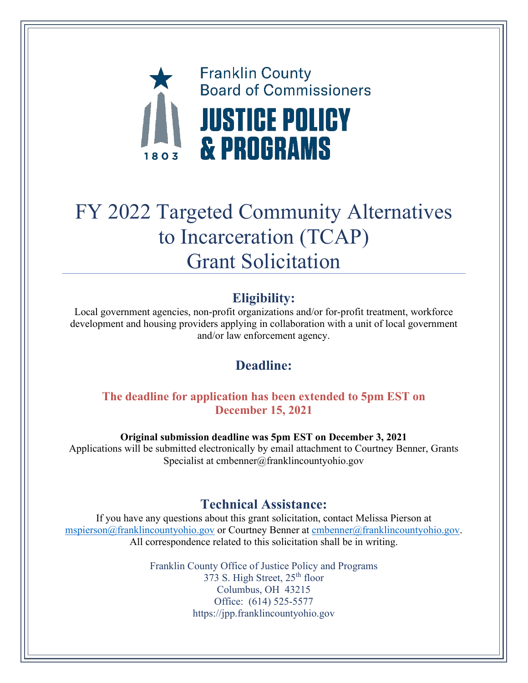

# FY 2022 Targeted Community Alternatives to Incarceration (TCAP) Grant Solicitation

# **Eligibility:**

Local government agencies, non-profit organizations and/or for-profit treatment, workforce development and housing providers applying in collaboration with a unit of local government and/or law enforcement agency.

# **Deadline:**

# **The deadline for application has been extended to 5pm EST on December 15, 2021**

**Original submission deadline was 5pm EST on December 3, 2021** Applications will be submitted electronically by email attachment to Courtney Benner, Grants Specialist at cmbenner@franklincountyohio.gov

# **Technical Assistance:**

If you have any questions about this grant solicitation, contact Melissa Pierson at [mspierson@franklincountyohio.gov](mailto:mspierson@franklincountyohio.gov) or Courtney Benner at [cmbenner@franklincountyohio.gov.](mailto:cmbenner@franklincountyohio.gov) All correspondence related to this solicitation shall be in writing.

> Franklin County Office of Justice Policy and Programs 373 S. High Street, 25<sup>th</sup> floor Columbus, OH 43215 Office: (614) 525-5577 https://jpp.franklincountyohio.gov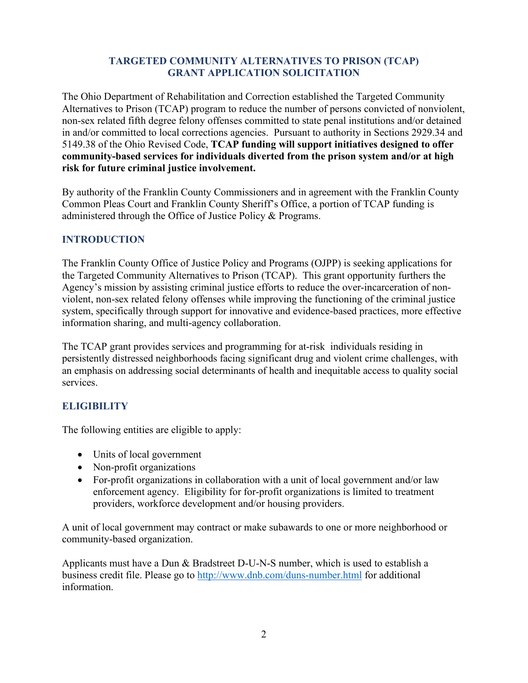#### **TARGETED COMMUNITY ALTERNATIVES TO PRISON (TCAP) GRANT APPLICATION SOLICITATION**

The Ohio Department of Rehabilitation and Correction established the Targeted Community Alternatives to Prison (TCAP) program to reduce the number of persons convicted of nonviolent, non-sex related fifth degree felony offenses committed to state penal institutions and/or detained in and/or committed to local corrections agencies. Pursuant to authority in Sections 2929.34 and 5149.38 of the Ohio Revised Code, **TCAP funding will support initiatives designed to offer community-based services for individuals diverted from the prison system and/or at high risk for future criminal justice involvement.**

By authority of the Franklin County Commissioners and in agreement with the Franklin County Common Pleas Court and Franklin County Sheriff's Office, a portion of TCAP funding is administered through the Office of Justice Policy & Programs.

#### **INTRODUCTION**

The Franklin County Office of Justice Policy and Programs (OJPP) is seeking applications for the Targeted Community Alternatives to Prison (TCAP). This grant opportunity furthers the Agency's mission by assisting criminal justice efforts to reduce the over-incarceration of nonviolent, non-sex related felony offenses while improving the functioning of the criminal justice system, specifically through support for innovative and evidence-based practices, more effective information sharing, and multi-agency collaboration.

The TCAP grant provides services and programming for at-risk individuals residing in persistently distressed neighborhoods facing significant drug and violent crime challenges, with an emphasis on addressing social determinants of health and inequitable access to quality social services.

# **ELIGIBILITY**

The following entities are eligible to apply:

- Units of local government
- Non-profit organizations
- For-profit organizations in collaboration with a unit of local government and/or law enforcement agency. Eligibility for for-profit organizations is limited to treatment providers, workforce development and/or housing providers.

A unit of local government may contract or make subawards to one or more neighborhood or community-based organization.

Applicants must have a Dun & Bradstreet D-U-N-S number, which is used to establish a business credit file. Please go to<http://www.dnb.com/duns-number.html> for additional information.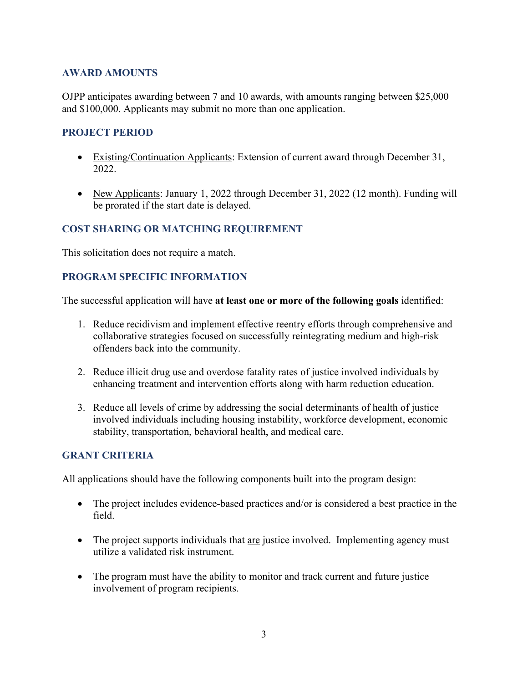#### **AWARD AMOUNTS**

OJPP anticipates awarding between 7 and 10 awards, with amounts ranging between \$25,000 and \$100,000. Applicants may submit no more than one application.

#### **PROJECT PERIOD**

- Existing/Continuation Applicants: Extension of current award through December 31, 2022.
- New Applicants: January 1, 2022 through December 31, 2022 (12 month). Funding will be prorated if the start date is delayed.

#### **COST SHARING OR MATCHING REQUIREMENT**

This solicitation does not require a match.

#### **PROGRAM SPECIFIC INFORMATION**

The successful application will have **at least one or more of the following goals** identified:

- 1. Reduce recidivism and implement effective reentry efforts through comprehensive and collaborative strategies focused on successfully reintegrating medium and high-risk offenders back into the community.
- 2. Reduce illicit drug use and overdose fatality rates of justice involved individuals by enhancing treatment and intervention efforts along with harm reduction education.
- 3. Reduce all levels of crime by addressing the social determinants of health of justice involved individuals including housing instability, workforce development, economic stability, transportation, behavioral health, and medical care.

#### **GRANT CRITERIA**

All applications should have the following components built into the program design:

- The project includes evidence-based practices and/or is considered a best practice in the field.
- The project supports individuals that are justice involved. Implementing agency must utilize a validated risk instrument.
- The program must have the ability to monitor and track current and future justice involvement of program recipients.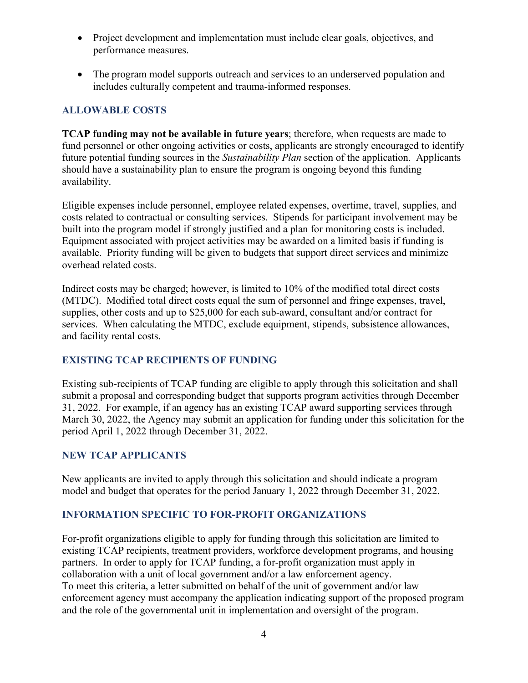- Project development and implementation must include clear goals, objectives, and performance measures.
- The program model supports outreach and services to an underserved population and includes culturally competent and trauma-informed responses.

# **ALLOWABLE COSTS**

**TCAP funding may not be available in future years**; therefore, when requests are made to fund personnel or other ongoing activities or costs, applicants are strongly encouraged to identify future potential funding sources in the *Sustainability Plan* section of the application. Applicants should have a sustainability plan to ensure the program is ongoing beyond this funding availability.

Eligible expenses include personnel, employee related expenses, overtime, travel, supplies, and costs related to contractual or consulting services. Stipends for participant involvement may be built into the program model if strongly justified and a plan for monitoring costs is included. Equipment associated with project activities may be awarded on a limited basis if funding is available. Priority funding will be given to budgets that support direct services and minimize overhead related costs.

Indirect costs may be charged; however, is limited to 10% of the modified total direct costs (MTDC). Modified total direct costs equal the sum of personnel and fringe expenses, travel, supplies, other costs and up to \$25,000 for each sub-award, consultant and/or contract for services. When calculating the MTDC, exclude equipment, stipends, subsistence allowances, and facility rental costs.

# **EXISTING TCAP RECIPIENTS OF FUNDING**

Existing sub-recipients of TCAP funding are eligible to apply through this solicitation and shall submit a proposal and corresponding budget that supports program activities through December 31, 2022. For example, if an agency has an existing TCAP award supporting services through March 30, 2022, the Agency may submit an application for funding under this solicitation for the period April 1, 2022 through December 31, 2022.

#### **NEW TCAP APPLICANTS**

New applicants are invited to apply through this solicitation and should indicate a program model and budget that operates for the period January 1, 2022 through December 31, 2022.

# **INFORMATION SPECIFIC TO FOR-PROFIT ORGANIZATIONS**

For-profit organizations eligible to apply for funding through this solicitation are limited to existing TCAP recipients, treatment providers, workforce development programs, and housing partners. In order to apply for TCAP funding, a for-profit organization must apply in collaboration with a unit of local government and/or a law enforcement agency. To meet this criteria, a letter submitted on behalf of the unit of government and/or law enforcement agency must accompany the application indicating support of the proposed program and the role of the governmental unit in implementation and oversight of the program.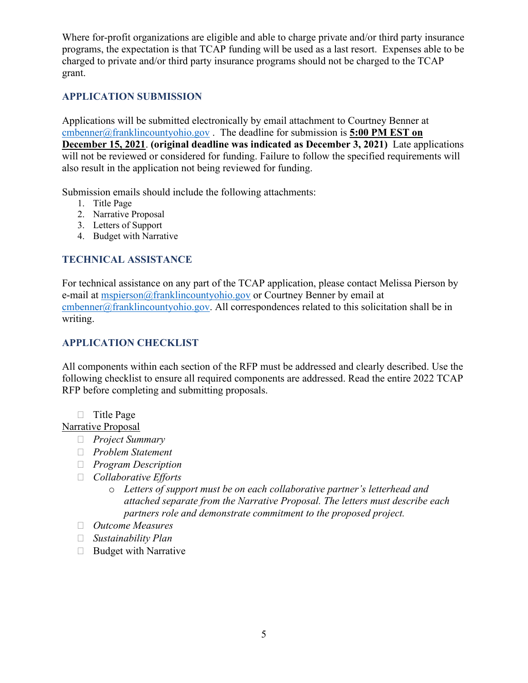Where for-profit organizations are eligible and able to charge private and/or third party insurance programs, the expectation is that TCAP funding will be used as a last resort. Expenses able to be charged to private and/or third party insurance programs should not be charged to the TCAP grant.

#### **APPLICATION SUBMISSION**

Applications will be submitted electronically by email attachment to Courtney Benner at [cmbenner@franklincountyohio.gov](mailto:cmbenner@franklincountyohio.gov) . The deadline for submission is **5:00 PM EST on December 15, 2021**. **(original deadline was indicated as December 3, 2021)** Late applications will not be reviewed or considered for funding. Failure to follow the specified requirements will also result in the application not being reviewed for funding.

Submission emails should include the following attachments:

- 1. Title Page
- 2. Narrative Proposal
- 3. Letters of Support
- 4. Budget with Narrative

#### **TECHNICAL ASSISTANCE**

For technical assistance on any part of the TCAP application, please contact Melissa Pierson by e-mail at [mspierson@franklincountyohio.gov](mailto:mspierson@franklincountyohio.gov) or Courtney Benner by email at [cmbenner@franklincountyohio.gov.](mailto:cmbenner@franklincountyohio.gov) All correspondences related to this solicitation shall be in writing.

### **APPLICATION CHECKLIST**

All components within each section of the RFP must be addressed and clearly described. Use the following checklist to ensure all required components are addressed. Read the entire 2022 TCAP RFP before completing and submitting proposals.

 $\Box$  Title Page

Narrative Proposal

- *Project Summary*
- *Problem Statement*
- *Program Description*
- *Collaborative Efforts*
	- o *Letters of support must be on each collaborative partner's letterhead and attached separate from the Narrative Proposal. The letters must describe each partners role and demonstrate commitment to the proposed project.*
- *Outcome Measures*
- *Sustainability Plan*
- $\Box$  Budget with Narrative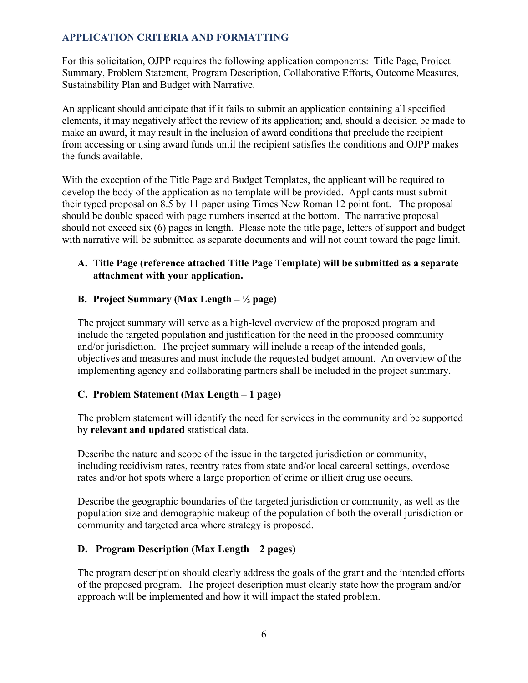# **APPLICATION CRITERIA AND FORMATTING**

For this solicitation, OJPP requires the following application components: Title Page, Project Summary, Problem Statement, Program Description, Collaborative Efforts, Outcome Measures, Sustainability Plan and Budget with Narrative.

An applicant should anticipate that if it fails to submit an application containing all specified elements, it may negatively affect the review of its application; and, should a decision be made to make an award, it may result in the inclusion of award conditions that preclude the recipient from accessing or using award funds until the recipient satisfies the conditions and OJPP makes the funds available.

With the exception of the Title Page and Budget Templates, the applicant will be required to develop the body of the application as no template will be provided. Applicants must submit their typed proposal on 8.5 by 11 paper using Times New Roman 12 point font. The proposal should be double spaced with page numbers inserted at the bottom. The narrative proposal should not exceed six (6) pages in length. Please note the title page, letters of support and budget with narrative will be submitted as separate documents and will not count toward the page limit.

#### **A. Title Page (reference attached Title Page Template) will be submitted as a separate attachment with your application.**

#### **B. Project Summary (Max Length – ½ page)**

The project summary will serve as a high-level overview of the proposed program and include the targeted population and justification for the need in the proposed community and/or jurisdiction. The project summary will include a recap of the intended goals, objectives and measures and must include the requested budget amount. An overview of the implementing agency and collaborating partners shall be included in the project summary.

#### **C. Problem Statement (Max Length – 1 page)**

The problem statement will identify the need for services in the community and be supported by **relevant and updated** statistical data.

Describe the nature and scope of the issue in the targeted jurisdiction or community, including recidivism rates, reentry rates from state and/or local carceral settings, overdose rates and/or hot spots where a large proportion of crime or illicit drug use occurs.

Describe the geographic boundaries of the targeted jurisdiction or community, as well as the population size and demographic makeup of the population of both the overall jurisdiction or community and targeted area where strategy is proposed.

#### **D. Program Description (Max Length – 2 pages)**

The program description should clearly address the goals of the grant and the intended efforts of the proposed program. The project description must clearly state how the program and/or approach will be implemented and how it will impact the stated problem.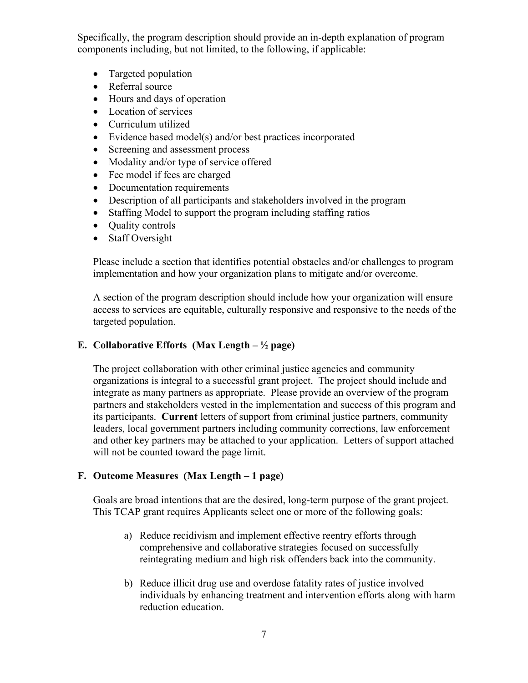Specifically, the program description should provide an in-depth explanation of program components including, but not limited, to the following, if applicable:

- Targeted population
- Referral source
- Hours and days of operation
- Location of services
- Curriculum utilized
- Evidence based model(s) and/or best practices incorporated
- Screening and assessment process
- Modality and/or type of service offered
- Fee model if fees are charged
- Documentation requirements
- Description of all participants and stakeholders involved in the program
- Staffing Model to support the program including staffing ratios
- Quality controls
- Staff Oversight

Please include a section that identifies potential obstacles and/or challenges to program implementation and how your organization plans to mitigate and/or overcome.

A section of the program description should include how your organization will ensure access to services are equitable, culturally responsive and responsive to the needs of the targeted population.

# **E. Collaborative Efforts (Max Length – ½ page)**

The project collaboration with other criminal justice agencies and community organizations is integral to a successful grant project. The project should include and integrate as many partners as appropriate. Please provide an overview of the program partners and stakeholders vested in the implementation and success of this program and its participants. **Current** letters of support from criminal justice partners, community leaders, local government partners including community corrections, law enforcement and other key partners may be attached to your application. Letters of support attached will not be counted toward the page limit.

#### **F. Outcome Measures (Max Length – 1 page)**

Goals are broad intentions that are the desired, long-term purpose of the grant project. This TCAP grant requires Applicants select one or more of the following goals:

- a) Reduce recidivism and implement effective reentry efforts through comprehensive and collaborative strategies focused on successfully reintegrating medium and high risk offenders back into the community.
- b) Reduce illicit drug use and overdose fatality rates of justice involved individuals by enhancing treatment and intervention efforts along with harm reduction education.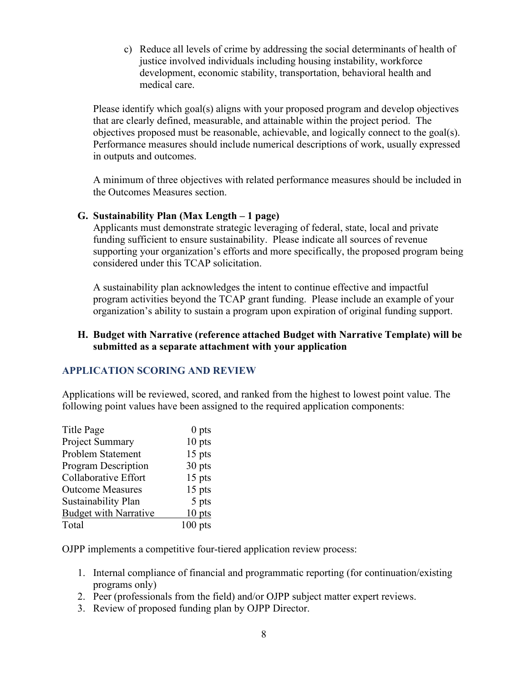c) Reduce all levels of crime by addressing the social determinants of health of justice involved individuals including housing instability, workforce development, economic stability, transportation, behavioral health and medical care.

Please identify which goal(s) aligns with your proposed program and develop objectives that are clearly defined, measurable, and attainable within the project period. The objectives proposed must be reasonable, achievable, and logically connect to the goal(s). Performance measures should include numerical descriptions of work, usually expressed in outputs and outcomes.

A minimum of three objectives with related performance measures should be included in the Outcomes Measures section.

#### **G. Sustainability Plan (Max Length – 1 page)**

Applicants must demonstrate strategic leveraging of federal, state, local and private funding sufficient to ensure sustainability. Please indicate all sources of revenue supporting your organization's efforts and more specifically, the proposed program being considered under this TCAP solicitation.

A sustainability plan acknowledges the intent to continue effective and impactful program activities beyond the TCAP grant funding. Please include an example of your organization's ability to sustain a program upon expiration of original funding support.

#### **H. Budget with Narrative (reference attached Budget with Narrative Template) will be submitted as a separate attachment with your application**

#### **APPLICATION SCORING AND REVIEW**

Applications will be reviewed, scored, and ranked from the highest to lowest point value. The following point values have been assigned to the required application components:

| <b>Title Page</b>            | 0 <sub>pts</sub> |
|------------------------------|------------------|
| Project Summary              | $10$ pts         |
| Problem Statement            | $15$ pts         |
| <b>Program Description</b>   | 30 pts           |
| <b>Collaborative Effort</b>  | $15$ pts         |
| <b>Outcome Measures</b>      | $15$ pts         |
| Sustainability Plan          | 5 pts            |
| <b>Budget with Narrative</b> | $10$ pts         |
| Total                        | $100$ pts        |

OJPP implements a competitive four-tiered application review process:

- 1. Internal compliance of financial and programmatic reporting (for continuation/existing programs only)
- 2. Peer (professionals from the field) and/or OJPP subject matter expert reviews.
- 3. Review of proposed funding plan by OJPP Director.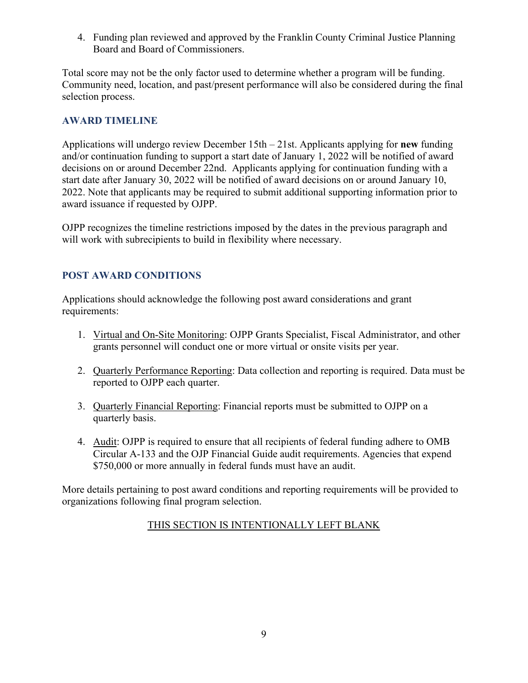4. Funding plan reviewed and approved by the Franklin County Criminal Justice Planning Board and Board of Commissioners.

Total score may not be the only factor used to determine whether a program will be funding. Community need, location, and past/present performance will also be considered during the final selection process.

### **AWARD TIMELINE**

Applications will undergo review December 15th – 21st. Applicants applying for **new** funding and/or continuation funding to support a start date of January 1, 2022 will be notified of award decisions on or around December 22nd. Applicants applying for continuation funding with a start date after January 30, 2022 will be notified of award decisions on or around January 10, 2022. Note that applicants may be required to submit additional supporting information prior to award issuance if requested by OJPP.

OJPP recognizes the timeline restrictions imposed by the dates in the previous paragraph and will work with subrecipients to build in flexibility where necessary.

# **POST AWARD CONDITIONS**

Applications should acknowledge the following post award considerations and grant requirements:

- 1. Virtual and On-Site Monitoring: OJPP Grants Specialist, Fiscal Administrator, and other grants personnel will conduct one or more virtual or onsite visits per year.
- 2. Quarterly Performance Reporting: Data collection and reporting is required. Data must be reported to OJPP each quarter.
- 3. Quarterly Financial Reporting: Financial reports must be submitted to OJPP on a quarterly basis.
- 4. Audit: OJPP is required to ensure that all recipients of federal funding adhere to OMB Circular A-133 and the OJP Financial Guide audit requirements. Agencies that expend \$750,000 or more annually in federal funds must have an audit.

More details pertaining to post award conditions and reporting requirements will be provided to organizations following final program selection.

# THIS SECTION IS INTENTIONALLY LEFT BLANK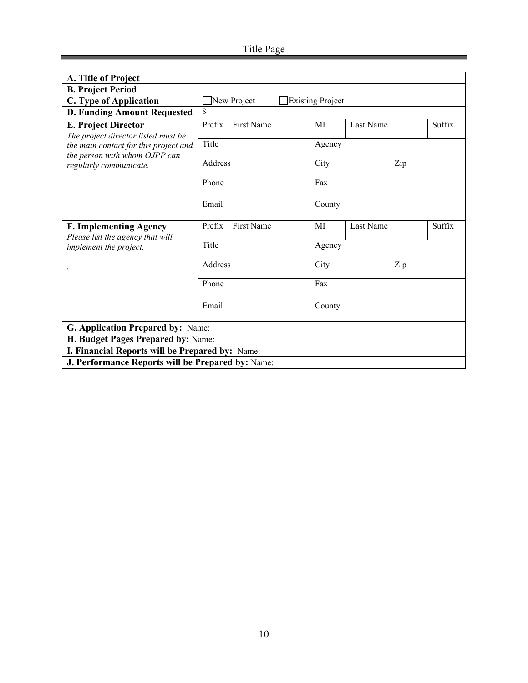| A. Title of Project                                                    |         |                   |  |                         |           |     |        |
|------------------------------------------------------------------------|---------|-------------------|--|-------------------------|-----------|-----|--------|
| <b>B. Project Period</b>                                               |         |                   |  |                         |           |     |        |
| C. Type of Application                                                 |         | New Project       |  | <b>Existing Project</b> |           |     |        |
| <b>D. Funding Amount Requested</b>                                     | \$      |                   |  |                         |           |     |        |
| <b>E. Project Director</b>                                             | Prefix  | <b>First Name</b> |  | MI                      | Last Name |     | Suffix |
| The project director listed must be                                    |         |                   |  |                         |           |     |        |
| the main contact for this project and<br>the person with whom OJPP can | Title   |                   |  | Agency                  |           |     |        |
| regularly communicate.                                                 | Address |                   |  | City                    |           | Zip |        |
|                                                                        | Phone   |                   |  | Fax                     |           |     |        |
|                                                                        | Email   |                   |  | County                  |           |     |        |
| <b>F. Implementing Agency</b>                                          | Prefix  | First Name        |  | MI                      | Last Name |     | Suffix |
| Please list the agency that will<br>implement the project.             | Title   |                   |  | Agency                  |           |     |        |
|                                                                        | Address |                   |  | City                    |           | Zip |        |
|                                                                        | Phone   |                   |  | Fax                     |           |     |        |
|                                                                        | Email   |                   |  | County                  |           |     |        |
| G. Application Prepared by: Name:                                      |         |                   |  |                         |           |     |        |
| H. Budget Pages Prepared by: Name:                                     |         |                   |  |                         |           |     |        |
| I. Financial Reports will be Prepared by: Name:                        |         |                   |  |                         |           |     |        |
| J. Performance Reports will be Prepared by: Name:                      |         |                   |  |                         |           |     |        |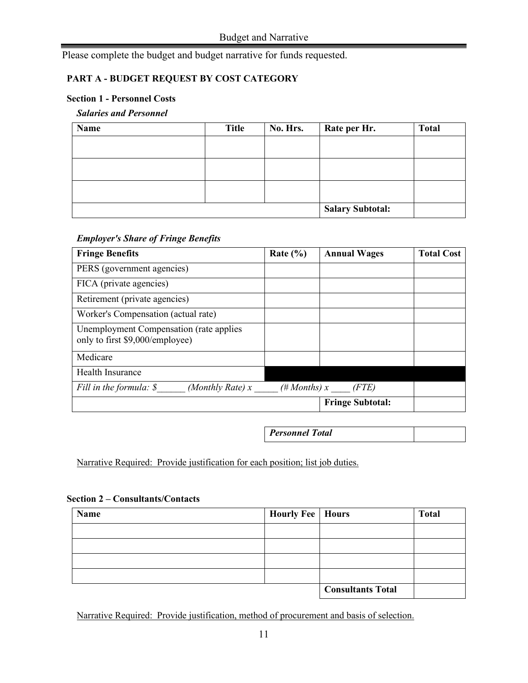Please complete the budget and budget narrative for funds requested.

#### **PART A - BUDGET REQUEST BY COST CATEGORY**

#### **Section 1 - Personnel Costs**

#### *Salaries and Personnel*

| Name | <b>Title</b> | No. Hrs. | Rate per Hr.            | <b>Total</b> |
|------|--------------|----------|-------------------------|--------------|
|      |              |          |                         |              |
|      |              |          |                         |              |
|      |              |          |                         |              |
|      |              |          |                         |              |
|      |              |          |                         |              |
|      |              |          | <b>Salary Subtotal:</b> |              |

#### *Employer's Share of Fringe Benefits*

| <b>Fringe Benefits</b>                                                     | Rate $(\% )$    | <b>Annual Wages</b>     | <b>Total Cost</b> |
|----------------------------------------------------------------------------|-----------------|-------------------------|-------------------|
| PERS (government agencies)                                                 |                 |                         |                   |
| FICA (private agencies)                                                    |                 |                         |                   |
| Retirement (private agencies)                                              |                 |                         |                   |
| Worker's Compensation (actual rate)                                        |                 |                         |                   |
| Unemployment Compensation (rate applies<br>only to first \$9,000/employee) |                 |                         |                   |
| Medicare                                                                   |                 |                         |                   |
| <b>Health Insurance</b>                                                    |                 |                         |                   |
| Fill in the formula: \$<br>(Monthly Rate) $x$                              | $(\# Months)$ x | (FTE)                   |                   |
|                                                                            |                 | <b>Fringe Subtotal:</b> |                   |

*Personnel Total*

Narrative Required: Provide justification for each position; list job duties.

|  |  | <b>Section 2 – Consultants/Contacts</b> |
|--|--|-----------------------------------------|
|--|--|-----------------------------------------|

| <b>Name</b> | <b>Hourly Fee</b>   Hours |                          | <b>Total</b> |
|-------------|---------------------------|--------------------------|--------------|
|             |                           |                          |              |
|             |                           |                          |              |
|             |                           |                          |              |
|             |                           |                          |              |
|             |                           | <b>Consultants Total</b> |              |

Narrative Required: Provide justification, method of procurement and basis of selection.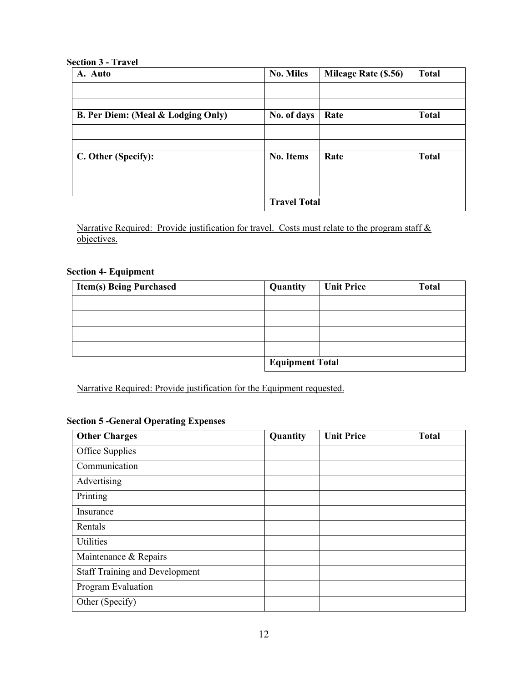#### **Section 3 - Travel**

| A. Auto                                       | <b>No. Miles</b>    | Mileage Rate (\$.56) | <b>Total</b> |
|-----------------------------------------------|---------------------|----------------------|--------------|
|                                               |                     |                      |              |
| <b>B. Per Diem: (Meal &amp; Lodging Only)</b> | No. of days         | Rate                 | <b>Total</b> |
|                                               |                     |                      |              |
| C. Other (Specify):                           | <b>No. Items</b>    | Rate                 | <b>Total</b> |
|                                               |                     |                      |              |
|                                               | <b>Travel Total</b> |                      |              |

Narrative Required: Provide justification for travel. Costs must relate to the program staff & objectives.

#### **Section 4- Equipment**

| <b>Item(s) Being Purchased</b> | Quantity               | <b>Unit Price</b> | <b>Total</b> |
|--------------------------------|------------------------|-------------------|--------------|
|                                |                        |                   |              |
|                                |                        |                   |              |
|                                |                        |                   |              |
|                                |                        |                   |              |
|                                | <b>Equipment Total</b> |                   |              |

Narrative Required: Provide justification for the Equipment requested.

#### **Section 5 -General Operating Expenses**

| <b>Other Charges</b>           | Quantity | <b>Unit Price</b> | <b>Total</b> |
|--------------------------------|----------|-------------------|--------------|
| Office Supplies                |          |                   |              |
| Communication                  |          |                   |              |
| Advertising                    |          |                   |              |
| Printing                       |          |                   |              |
| Insurance                      |          |                   |              |
| Rentals                        |          |                   |              |
| Utilities                      |          |                   |              |
| Maintenance & Repairs          |          |                   |              |
| Staff Training and Development |          |                   |              |
| Program Evaluation             |          |                   |              |
| Other (Specify)                |          |                   |              |